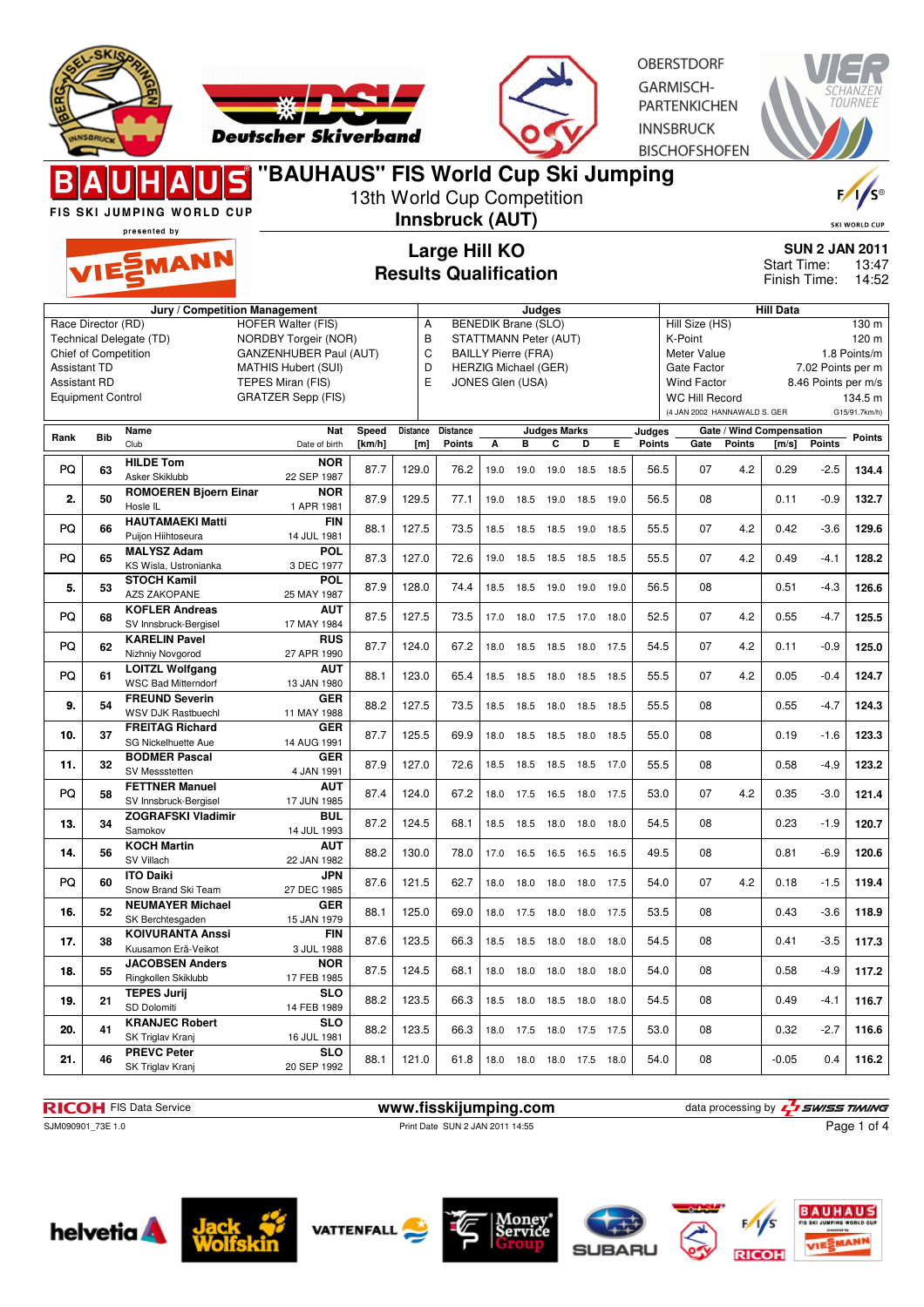



**OBERSTDORF** GARMISCH-PARTENKICHEN **INNSBRUCK BISCHOFSHOFEN** 



|                          |            | <b>FIS SKI JUMPING WORLD CUP</b>                     | "BAUHAUS" FIS World Cup Ski Jumping |        |                                                      | 13th World Cup Competition<br>Innsbruck (AUT) |      |                             |                     |      |                             |                       |                                                       |               |                          |                     | $F / \sqrt{S^{\circ}}$   |
|--------------------------|------------|------------------------------------------------------|-------------------------------------|--------|------------------------------------------------------|-----------------------------------------------|------|-----------------------------|---------------------|------|-----------------------------|-----------------------|-------------------------------------------------------|---------------|--------------------------|---------------------|--------------------------|
|                          |            | presented by<br>VIESMANN                             |                                     |        | <b>Large Hill KO</b><br><b>Results Qualification</b> |                                               |      |                             |                     |      | Start Time:<br>Finish Time: | <b>SUN 2 JAN 2011</b> | <b>SKI WORLD CUP</b><br>13:47<br>14:52                |               |                          |                     |                          |
|                          |            |                                                      | Jury / Competition Management       |        |                                                      |                                               |      |                             | Judges              |      |                             |                       |                                                       |               | <b>Hill Data</b>         |                     |                          |
| Race Director (RD)       |            |                                                      | <b>HOFER Walter (FIS)</b>           |        | Α                                                    |                                               |      | <b>BENEDIK Brane (SLO)</b>  |                     |      |                             |                       | Hill Size (HS)                                        |               |                          |                     | 130 m                    |
|                          |            | Technical Delegate (TD)                              | NORDBY Torgeir (NOR)                |        | B                                                    |                                               |      | STATTMANN Peter (AUT)       |                     |      |                             |                       | K-Point                                               |               |                          |                     | 120 m                    |
| Chief of Competition     |            |                                                      | GANZENHUBER Paul (AUT)              |        | C                                                    |                                               |      | <b>BAILLY Pierre (FRA)</b>  |                     |      |                             |                       | Meter Value                                           |               |                          |                     | 1.8 Points/m             |
| <b>Assistant TD</b>      |            |                                                      | <b>MATHIS Hubert (SUI)</b>          |        | D                                                    |                                               |      | <b>HERZIG Michael (GER)</b> |                     |      |                             |                       | Gate Factor                                           |               |                          | 7.02 Points per m   |                          |
| <b>Assistant RD</b>      |            |                                                      | TEPES Miran (FIS)                   |        | E                                                    |                                               |      | JONES Glen (USA)            |                     |      |                             |                       | <b>Wind Factor</b>                                    |               |                          | 8.46 Points per m/s |                          |
| <b>Equipment Control</b> |            |                                                      | <b>GRATZER Sepp (FIS)</b>           |        |                                                      |                                               |      |                             |                     |      |                             |                       | <b>WC Hill Record</b><br>(4 JAN 2002 HANNAWALD S. GER |               |                          |                     | 134.5 m<br>G15/91.7km/h) |
| Rank                     | <b>Bib</b> | Name                                                 | Nat                                 | Speed  | Distance                                             | <b>Distance</b>                               |      |                             | <b>Judges Marks</b> |      |                             | Judges                |                                                       |               | Gate / Wind Compensation |                     | Points                   |
|                          |            | Club                                                 | Date of birth                       | [km/h] | [m]                                                  | <b>Points</b>                                 | А    | В                           | C                   | D    | Е                           | Points                | Gate                                                  | <b>Points</b> | [m/s]                    | <b>Points</b>       |                          |
| PQ                       | 63         | <b>HILDE Tom</b>                                     | <b>NOR</b>                          | 87.7   | 129.0                                                | 76.2                                          | 19.0 | 19.0                        | 19.0                | 18.5 | 18.5                        | 56.5                  | 07                                                    | 4.2           | 0.29                     | $-2.5$              | 134.4                    |
|                          |            | Asker Skiklubb                                       | 22 SEP 1987                         |        |                                                      |                                               |      |                             |                     |      |                             |                       |                                                       |               |                          |                     |                          |
| 2.                       | 50         | <b>ROMOEREN Bjoern Einar</b>                         | <b>NOR</b>                          | 87.9   | 129.5                                                | 77.1                                          | 19.0 | 18.5                        | 19.0                | 18.5 | 19.0                        | 56.5                  | 08                                                    |               | 0.11                     | $-0.9$              | 132.7                    |
|                          |            | Hosle IL                                             | 1 APR 1981                          |        |                                                      |                                               |      |                             |                     |      |                             |                       |                                                       |               |                          |                     |                          |
| PQ                       | 66         | <b>HAUTAMAEKI Matti</b>                              | <b>FIN</b>                          | 88.1   | 127.5                                                | 73.5                                          | 18.5 | 18.5                        | 18.5 19.0           |      | 18.5                        | 55.5                  | 07                                                    | 4.2           | 0.42                     | $-3.6$              | 129.6                    |
|                          |            | Puijon Hiihtoseura                                   | 14 JUL 1981                         |        |                                                      |                                               |      |                             |                     |      |                             |                       |                                                       |               |                          |                     |                          |
| PQ                       | 65         | <b>MALYSZ Adam</b>                                   | POL                                 | 87.3   | 127.0                                                | 72.6                                          | 19.0 |                             | 18.5 18.5 18.5      |      | 18.5                        | 55.5                  | 07                                                    | 4.2           | 0.49                     | -4.1                | 128.2                    |
|                          |            | KS Wisla, Ustronianka                                | 3 DEC 1977                          |        |                                                      |                                               |      |                             |                     |      |                             |                       |                                                       |               |                          |                     |                          |
| 5.                       | 53         | <b>STOCH Kamil</b>                                   | POL                                 | 87.9   | 128.0                                                | 74.4                                          | 18.5 | 18.5                        | 19.0 19.0           |      | 19.0                        | 56.5                  | 08                                                    |               | 0.51                     | $-4.3$              | 126.6                    |
|                          |            | <b>AZS ZAKOPANE</b>                                  | 25 MAY 1987                         |        |                                                      |                                               |      |                             |                     |      |                             |                       |                                                       |               |                          |                     |                          |
| PQ                       | 68         | <b>KOFLER Andreas</b>                                | <b>AUT</b>                          | 87.5   | 127.5                                                | 73.5                                          | 17.0 |                             | 18.0 17.5 17.0      |      | 18.0                        | 52.5                  | 07                                                    | 4.2           | 0.55                     | $-4.7$              | 125.5                    |
|                          |            | SV Innsbruck-Bergisel                                | 17 MAY 1984                         |        |                                                      |                                               |      |                             |                     |      |                             |                       |                                                       |               |                          |                     |                          |
| PQ                       | 62         | <b>KARELIN Pavel</b>                                 | <b>RUS</b>                          | 87.7   | 124.0                                                | 67.2                                          | 18.0 | 18.5                        | 18.5                | 18.0 | 17.5                        | 54.5                  | 07                                                    | 4.2           | 0.11                     | $-0.9$              | 125.0                    |
|                          |            | Nizhniy Novgorod                                     | 27 APR 1990                         |        |                                                      |                                               |      |                             |                     |      |                             |                       |                                                       |               |                          |                     |                          |
| PQ                       | 61         | <b>LOITZL Wolfgang</b><br><b>WSC Bad Mitterndorf</b> | <b>AUT</b><br>13 JAN 1980           | 88.1   | 123.0                                                | 65.4                                          | 18.5 | 18.5                        | 18.0 18.5           |      | 18.5                        | 55.5                  | 07                                                    | 4.2           | 0.05                     | $-0.4$              | 124.7                    |
|                          |            | <b>FREUND Severin</b>                                | <b>GER</b>                          |        |                                                      |                                               |      |                             |                     |      |                             |                       |                                                       |               |                          |                     |                          |
| 9.                       | 54         | <b>WSV DJK Rastbuechl</b>                            | 11 MAY 1988                         | 88.2   | 127.5                                                | 73.5                                          | 18.5 | 18.5                        | 18.0                | 18.5 | 18.5                        | 55.5                  | 08                                                    |               | 0.55                     | $-4.7$              | 124.3                    |
|                          |            | <b>FREITAG Richard</b>                               | <b>GER</b>                          |        |                                                      |                                               |      |                             |                     |      |                             |                       |                                                       |               |                          |                     |                          |
| 10.                      | 37         | SG Nickelhuette Aue                                  | 14 AUG 1991                         | 87.7   | 125.5                                                | 69.9                                          | 18.0 | 18.5 18.5 18.0              |                     |      | 18.5                        | 55.0                  | 08                                                    |               | 0.19                     | $-1.6$              | 123.3                    |
|                          |            | <b>BODMER Pascal</b>                                 | <b>GER</b>                          |        |                                                      |                                               |      |                             |                     |      |                             |                       |                                                       |               |                          |                     |                          |
| 11.                      | 32         | SV Messstetten                                       | 4 JAN 1991                          | 87.9   | 127.0                                                | 72.6                                          |      | 18.5 18.5 18.5 18.5 17.0    |                     |      |                             | 55.5                  | 08                                                    |               | 0.58                     | $-4.9$              | 123.2                    |
|                          |            | <b>FETTNER Manuel</b>                                | <b>AUT</b>                          |        |                                                      |                                               |      |                             |                     |      |                             |                       |                                                       |               |                          |                     |                          |
| PQ                       | 58         | SV Innsbruck-Bergisel                                | 17 JUN 1985                         | 87.4   | 124.0                                                | 67.2                                          | 18.0 | 17.5                        | 16.5 18.0 17.5      |      |                             | 53.0                  | 07                                                    | 4.2           | 0.35                     | $-3.0$              | 121.4                    |
|                          |            | <b>ZOGRAFSKI Vladimir</b>                            | <b>BUL</b>                          |        |                                                      |                                               |      |                             |                     |      |                             |                       |                                                       |               |                          |                     |                          |
| 13.                      | 34         | Samokov                                              | 14 JUL 1993                         | 87.2   | 124.5                                                | 68.1                                          | 18.5 | 18.5                        | 18.0                | 18.0 | 18.0                        | 54.5                  | 08                                                    |               | 0.23                     | $-1.9$              | 120.7                    |
|                          |            | <b>KOCH Martin</b>                                   | <b>AUT</b>                          |        |                                                      |                                               |      |                             |                     |      |                             |                       |                                                       |               |                          |                     |                          |
| 14.                      | 56         | SV Villach                                           | 22 JAN 1982                         | 88.2   | 130.0                                                | 78.0                                          |      | 17.0 16.5 16.5 16.5         |                     |      | 16.5                        | 49.5                  | 08                                                    |               | 0.81                     | $-6.9$              | 120.6                    |
|                          |            | <b>ITO Daiki</b>                                     | <b>JPN</b>                          |        |                                                      |                                               |      |                             |                     |      |                             |                       |                                                       |               |                          |                     |                          |
| PQ                       | 60         | Snow Brand Ski Team                                  | 27 DEC 1985                         | 87.6   | 121.5                                                | 62.7                                          |      | 18.0 18.0 18.0 18.0 17.5    |                     |      |                             | 54.0                  | 07                                                    | 4.2           | 0.18                     | $-1.5$              | 119.4                    |
| 16.                      | 52         | <b>NEUMAYER Michael</b>                              | <b>GER</b>                          | 88.1   | 125.0                                                | 69.0                                          |      | 18.0 17.5 18.0 18.0 17.5    |                     |      |                             | 53.5                  | 08                                                    |               | 0.43                     | $-3.6$              | 118.9                    |
|                          |            | SK Berchtesgaden                                     | 15 JAN 1979                         |        |                                                      |                                               |      |                             |                     |      |                             |                       |                                                       |               |                          |                     |                          |
| 17.                      | 38         | <b>KOIVURANTA Anssi</b>                              | FIN                                 | 87.6   | 123.5                                                | 66.3                                          |      | 18.5 18.5 18.0 18.0 18.0    |                     |      |                             | 54.5                  | 08                                                    |               | 0.41                     | $-3.5$              | 117.3                    |
|                          |            | Kuusamon Erä-Veikot                                  | 3 JUL 1988                          |        |                                                      |                                               |      |                             |                     |      |                             |                       |                                                       |               |                          |                     |                          |
| 18.                      | 55         | <b>JACOBSEN Anders</b>                               | <b>NOR</b>                          | 87.5   | 124.5                                                | 68.1                                          |      | 18.0 18.0 18.0 18.0 18.0    |                     |      |                             | 54.0                  | 08                                                    |               | 0.58                     | $-4.9$              | 117.2                    |
|                          |            | Ringkollen Skiklubb                                  | 17 FEB 1985                         |        |                                                      |                                               |      |                             |                     |      |                             |                       |                                                       |               |                          |                     |                          |
| 19.                      | 21         | <b>TEPES Jurij</b>                                   | <b>SLO</b>                          | 88.2   | 123.5                                                | 66.3                                          |      | 18.5 18.0 18.5 18.0 18.0    |                     |      |                             | 54.5                  | 08                                                    |               | 0.49                     | -4.1                | 116.7                    |
|                          |            | SD Dolomiti                                          | 14 FEB 1989                         |        |                                                      |                                               |      |                             |                     |      |                             |                       |                                                       |               |                          |                     |                          |
| 20.                      | 41         | <b>KRANJEC Robert</b>                                | <b>SLO</b>                          | 88.2   | 123.5                                                | 66.3                                          |      | 18.0 17.5 18.0 17.5 17.5    |                     |      |                             | 53.0                  | 08                                                    |               | 0.32                     | $-2.7$              | 116.6                    |
|                          |            | SK Triglav Kranj<br><b>PREVC Peter</b>               | 16 JUL 1981                         |        |                                                      |                                               |      |                             |                     |      |                             |                       |                                                       |               |                          |                     |                          |
| 21.                      | 46         | SK Triglav Kranj                                     | <b>SLO</b><br>20 SEP 1992           | 88.1   | 121.0                                                | 61.8                                          |      | 18.0 18.0 18.0 17.5 18.0    |                     |      |                             | 54.0                  | 08                                                    |               | -0.05                    | 0.4                 | 116.2                    |
|                          |            |                                                      |                                     |        |                                                      |                                               |      |                             |                     |      |                             |                       |                                                       |               |                          |                     |                          |

Page 1 of 4

**RICOH** FIS Data Service **www.fisskijumping.com** data processing by  $\frac{1}{2}$  SWISS TIMING SUN090901\_73E 1.0 Print Date SUN 2 JAN 2011 14:55 Print Date SUN 2 JAN 2011 14:55













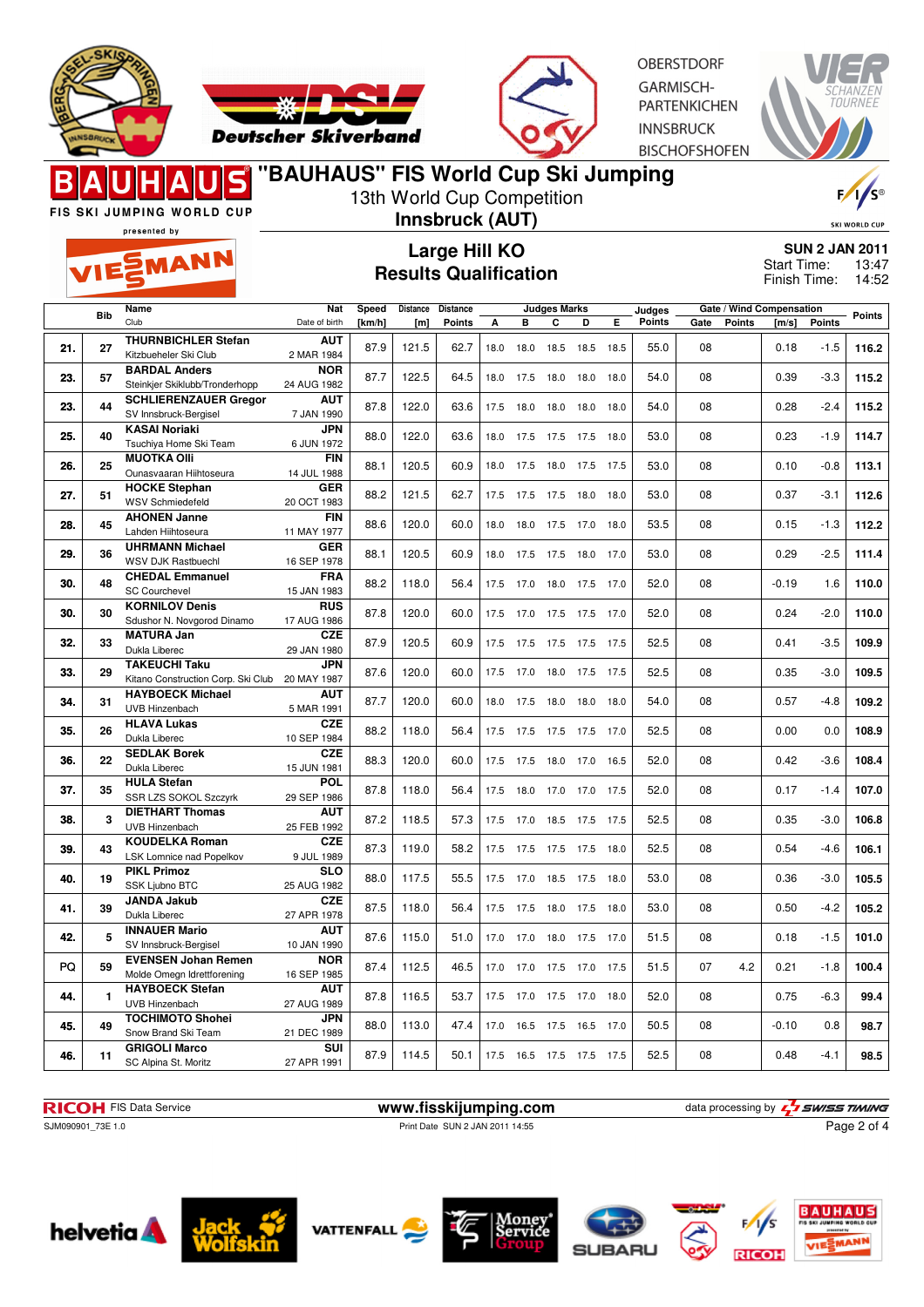



**OBERSTDORF** GARMISCH-**PARTENKICHEN INNSBRUCK BISCHOFSHOFEN** 



presented by

### **"BAUHAUS" FIS World Cup Ski Jumping** 13th World Cup Competition

FIS SKI JUMPING WORLD CUP

MANN

### **Innsbruck (AUT) Large Hill KO**

**Results Qualification**

F, 'S®

SKI WORLD CUP **SUN 2 JAN 2011**

13:47 14:52 Start Time: Finish Time:

|     | <b>Bib</b>   | Name                                                           | Nat                       | Speed  | Distance | <b>Distance</b> |      |      | <b>Judges Marks</b>      |           |      | Judges |      | Gate / Wind Compensation |         |        | <b>Points</b> |
|-----|--------------|----------------------------------------------------------------|---------------------------|--------|----------|-----------------|------|------|--------------------------|-----------|------|--------|------|--------------------------|---------|--------|---------------|
|     |              | Club                                                           | Date of birth             | [km/h] | [m]      | Points          | A    | B    | C                        | D         | E.   | Points | Gate | <b>Points</b>            | [m/s]   | Points |               |
| 21. | 27           | <b>THURNBICHLER Stefan</b>                                     | <b>AUT</b>                | 87.9   | 121.5    | 62.7            | 18.0 | 18.0 | 18.5                     | 18.5      | 18.5 | 55.0   | 08   |                          | 0.18    | $-1.5$ | 116.2         |
|     |              | Kitzbueheler Ski Club                                          | 2 MAR 1984                |        |          |                 |      |      |                          |           |      |        |      |                          |         |        |               |
| 23. | 57           | <b>BARDAL Anders</b>                                           | <b>NOR</b><br>24 AUG 1982 | 87.7   | 122.5    | 64.5            | 18.0 | 17.5 | 18.0                     | 18.0      | 18.0 | 54.0   | 08   |                          | 0.39    | $-3.3$ | 115.2         |
|     |              | Steinkjer Skiklubb/Tronderhopp<br><b>SCHLIERENZAUER Gregor</b> | <b>AUT</b>                |        |          |                 |      |      |                          |           |      |        |      |                          |         |        |               |
| 23. | 44           | SV Innsbruck-Bergisel                                          | 7 JAN 1990                | 87.8   | 122.0    | 63.6            | 17.5 | 18.0 | 18.0                     | 18.0      | 18.0 | 54.0   | 08   |                          | 0.28    | $-2.4$ | 115.2         |
|     |              | <b>KASAI Noriaki</b>                                           | <b>JPN</b>                |        |          |                 |      |      |                          |           |      |        |      |                          |         |        |               |
| 25. | 40           | Tsuchiya Home Ski Team                                         | 6 JUN 1972                | 88.0   | 122.0    | 63.6            | 18.0 | 17.5 | 17.5 17.5                |           | 18.0 | 53.0   | 08   |                          | 0.23    | $-1.9$ | 114.7         |
|     |              | <b>MUOTKA Olli</b>                                             | <b>FIN</b>                |        |          |                 |      |      |                          |           |      |        |      |                          |         |        |               |
| 26. | 25           | Ounasvaaran Hiihtoseura                                        | 14 JUL 1988               | 88.1   | 120.5    | 60.9            | 18.0 | 17.5 | 18.0                     | 17.5      | 17.5 | 53.0   | 08   |                          | 0.10    | $-0.8$ | 113.1         |
| 27. | 51           | <b>HOCKE Stephan</b>                                           | <b>GER</b>                | 88.2   | 121.5    | 62.7            | 17.5 | 17.5 | 17.5                     | 18.0      | 18.0 | 53.0   | 08   |                          | 0.37    | $-3.1$ | 112.6         |
|     |              | <b>WSV Schmiedefeld</b>                                        | 20 OCT 1983               |        |          |                 |      |      |                          |           |      |        |      |                          |         |        |               |
| 28. | 45           | <b>AHONEN Janne</b>                                            | <b>FIN</b>                | 88.6   | 120.0    | 60.0            | 18.0 | 18.0 | 17.5                     | 17.0      | 18.0 | 53.5   | 08   |                          | 0.15    | $-1.3$ | 112.2         |
|     |              | Lahden Hiihtoseura                                             | 11 MAY 1977               |        |          |                 |      |      |                          |           |      |        |      |                          |         |        |               |
| 29. | 36           | <b>UHRMANN Michael</b>                                         | <b>GER</b>                | 88.1   | 120.5    | 60.9            | 18.0 | 17.5 | 17.5 18.0                |           | 17.0 | 53.0   | 08   |                          | 0.29    | $-2.5$ | 111.4         |
|     |              | <b>WSV DJK Rastbuechl</b><br><b>CHEDAL Emmanuel</b>            | 16 SEP 1978<br><b>FRA</b> |        |          |                 |      |      |                          |           |      |        |      |                          |         |        |               |
| 30. | 48           | <b>SC Courchevel</b>                                           | 15 JAN 1983               | 88.2   | 118.0    | 56.4            | 17.5 | 17.0 | 18.0                     | 17.5 17.0 |      | 52.0   | 08   |                          | $-0.19$ | 1.6    | 110.0         |
|     |              | <b>KORNILOV Denis</b>                                          | <b>RUS</b>                |        |          |                 |      |      |                          |           |      |        |      |                          |         |        |               |
| 30. | 30           | Sdushor N. Novgorod Dinamo                                     | 17 AUG 1986               | 87.8   | 120.0    | 60.0            | 17.5 | 17.0 | 17.5 17.5                |           | 17.0 | 52.0   | 08   |                          | 0.24    | $-2.0$ | 110.0         |
|     |              | <b>MATURA Jan</b>                                              | <b>CZE</b>                |        |          |                 |      |      |                          |           |      |        |      |                          |         |        |               |
| 32. | 33           | Dukla Liberec                                                  | 29 JAN 1980               | 87.9   | 120.5    | 60.9            | 17.5 | 17.5 | 17.5                     | 17.5      | 17.5 | 52.5   | 08   |                          | 0.41    | $-3.5$ | 109.9         |
|     |              | <b>TAKEUCHI Taku</b>                                           | <b>JPN</b>                |        | 120.0    | 60.0            |      |      |                          |           |      | 52.5   | 08   |                          |         | $-3.0$ |               |
| 33. | 29           | Kitano Construction Corp. Ski Club 20 MAY 1987                 |                           | 87.6   |          |                 | 17.5 | 17.0 | 18.0                     | 17.5      | 17.5 |        |      |                          | 0.35    |        | 109.5         |
| 34. | 31           | <b>HAYBOECK Michael</b>                                        | <b>AUT</b>                | 87.7   | 120.0    | 60.0            | 18.0 | 17.5 | 18.0 18.0                |           | 18.0 | 54.0   | 08   |                          | 0.57    | $-4.8$ | 109.2         |
|     |              | UVB Hinzenbach                                                 | 5 MAR 1991                |        |          |                 |      |      |                          |           |      |        |      |                          |         |        |               |
| 35. | 26           | <b>HLAVA Lukas</b>                                             | <b>CZE</b>                | 88.2   | 118.0    | 56.4            | 17.5 | 17.5 | 17.5 17.5 17.0           |           |      | 52.5   | 08   |                          | 0.00    | 0.0    | 108.9         |
|     |              | Dukla Liberec                                                  | 10 SEP 1984               |        |          |                 |      |      |                          |           |      |        |      |                          |         |        |               |
| 36. | 22           | <b>SEDLAK Borek</b><br>Dukla Liberec                           | <b>CZE</b><br>15 JUN 1981 | 88.3   | 120.0    | 60.0            | 17.5 | 17.5 | 18.0                     | 17.0      | 16.5 | 52.0   | 08   |                          | 0.42    | $-3.6$ | 108.4         |
|     |              | <b>HULA Stefan</b>                                             | <b>POL</b>                |        |          |                 |      |      |                          |           |      |        |      |                          |         |        |               |
| 37. | 35           | SSR LZS SOKOL Szczyrk                                          | 29 SEP 1986               | 87.8   | 118.0    | 56.4            | 17.5 | 18.0 | 17.0                     | 17.0      | 17.5 | 52.0   | 08   |                          | 0.17    | $-1.4$ | 107.0         |
|     |              | <b>DIETHART Thomas</b>                                         | <b>AUT</b>                |        |          |                 |      |      |                          |           |      |        |      |                          |         |        |               |
| 38. | 3            | UVB Hinzenbach                                                 | 25 FEB 1992               | 87.2   | 118.5    | 57.3            | 17.5 | 17.0 | 18.5                     | 17.5      | 17.5 | 52.5   | 08   |                          | 0.35    | $-3.0$ | 106.8         |
| 39. | 43           | <b>KOUDELKA Roman</b>                                          | <b>CZE</b>                | 87.3   | 119.0    | 58.2            | 17.5 | 17.5 | 17.5 17.5 18.0           |           |      | 52.5   | 08   |                          | 0.54    | $-4.6$ | 106.1         |
|     |              | LSK Lomnice nad Popelkov                                       | 9 JUL 1989                |        |          |                 |      |      |                          |           |      |        |      |                          |         |        |               |
| 40. | 19           | <b>PIKL Primoz</b>                                             | <b>SLO</b>                | 88.0   | 117.5    | 55.5            | 17.5 | 17.0 | 18.5 17.5 18.0           |           |      | 53.0   | 08   |                          | 0.36    | $-3.0$ | 105.5         |
|     |              | <b>SSK Liubno BTC</b>                                          | 25 AUG 1982               |        |          |                 |      |      |                          |           |      |        |      |                          |         |        |               |
| 41. | 39           | <b>JANDA Jakub</b>                                             | <b>CZE</b>                | 87.5   | 118.0    | 56.4            | 17.5 | 17.5 | 18.0                     | 17.5      | 18.0 | 53.0   | 08   |                          | 0.50    | $-4.2$ | 105.2         |
|     |              | Dukla Liberec<br><b>INNAUER Mario</b>                          | 27 APR 1978<br><b>AUT</b> |        |          |                 |      |      |                          |           |      |        |      |                          |         |        |               |
| 42. | 5            | SV Innsbruck-Bergisel                                          | 10 JAN 1990               | 87.6   | 115.0    | 51.0            | 17.0 | 17.0 | 18.0                     | 17.5      | 17.0 | 51.5   | 08   |                          | 0.18    | $-1.5$ | 101.0         |
|     |              | <b>EVENSEN Johan Remen</b>                                     | <b>NOR</b>                |        |          |                 |      |      |                          |           |      |        |      |                          |         |        |               |
| PQ  | 59           | Molde Omegn Idrettforening                                     | 16 SEP 1985               | 87.4   | 112.5    | 46.5            | 17.0 | 17.0 | 17.5                     | 17.0      | 17.5 | 51.5   | 07   | 4.2                      | 0.21    | $-1.8$ | 100.4         |
|     |              | <b>HAYBOECK Stefan</b>                                         | <b>AUT</b>                |        |          |                 |      |      |                          |           |      |        |      |                          |         |        |               |
| 44. | $\mathbf{1}$ | <b>UVB Hinzenbach</b>                                          | 27 AUG 1989               | 87.8   | 116.5    | 53.7            | 17.5 | 17.0 | 17.5 17.0                |           | 18.0 | 52.0   | 08   |                          | 0.75    | $-6.3$ | 99.4          |
| 45. | 49           | <b>TOCHIMOTO Shohei</b>                                        | <b>JPN</b>                | 88.0   | 113.0    | 47.4            | 17.0 | 16.5 | 17.5 16.5                |           | 17.0 | 50.5   | 08   |                          | $-0.10$ | 0.8    | 98.7          |
|     |              | Snow Brand Ski Team                                            | 21 DEC 1989               |        |          |                 |      |      |                          |           |      |        |      |                          |         |        |               |
| 46. | 11           | <b>GRIGOLI Marco</b>                                           | SUI                       | 87.9   | 114.5    | 50.1            |      |      | 17.5 16.5 17.5 17.5 17.5 |           |      | 52.5   | 08   |                          | 0.48    | $-4.1$ | 98.5          |
|     |              | SC Alpina St. Moritz                                           | 27 APR 1991               |        |          |                 |      |      |                          |           |      |        |      |                          |         |        |               |

**RICOH** FIS Data Service **www.fisskijumping.com** data processing by  $\frac{7}{2}$  **swiss TIMING** 

Page 2 of 4

SJM090901\_73E 1.0 Print Date SUN 2 JAN 2011 14:55











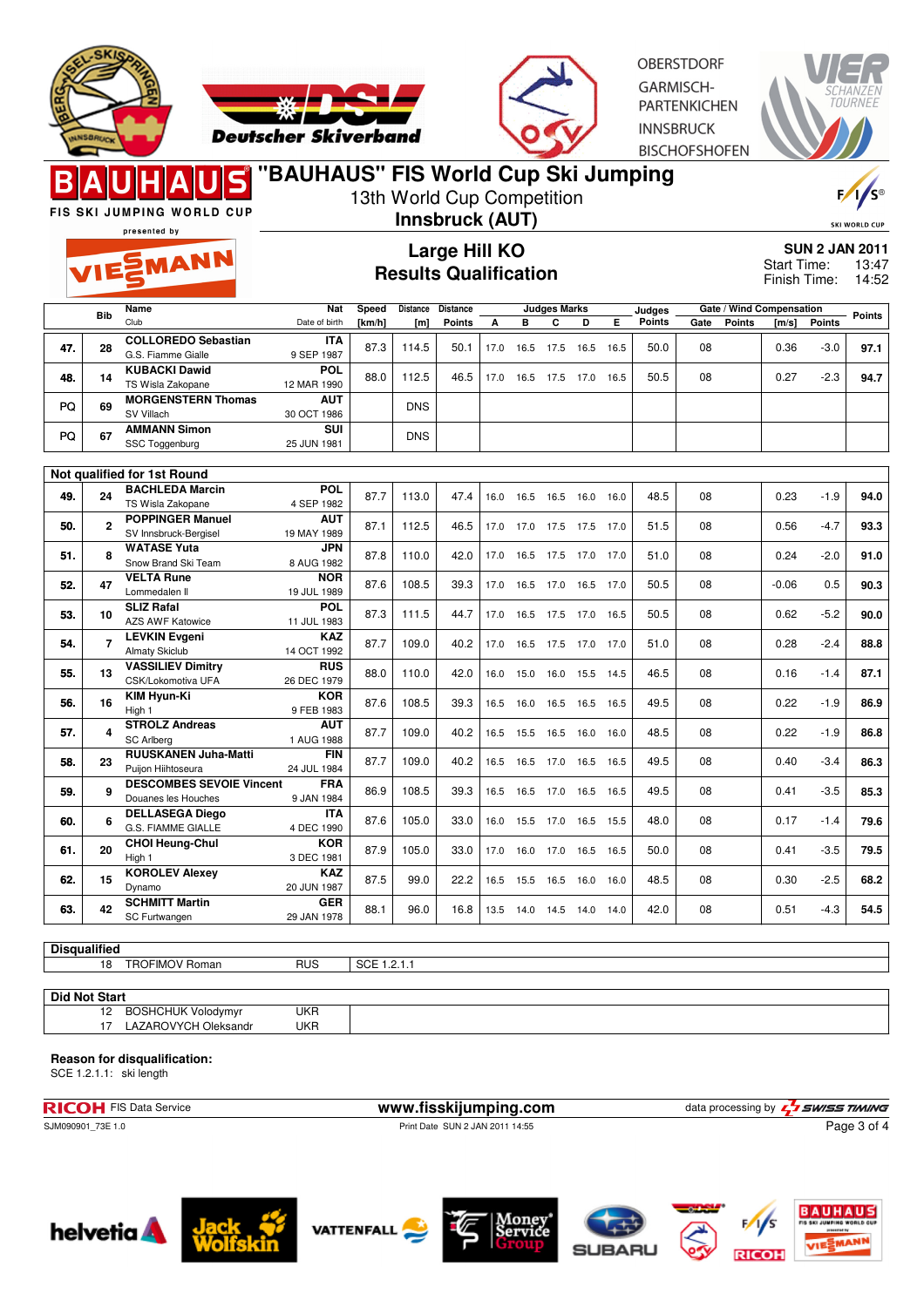



**OBERSTDORF** GARMISCH-**PARTENKICHEN INNSBRUCK BISCHOFSHOFEN** 



FIS SKI JUMPING WORLD CUP

# **"BAUHAUS" FIS World Cup Ski Jumping**

13th World Cup Competition

presented by

EMANN

## **Innsbruck (AUT) Large Hill KO**

**Results Qualification**



**SUN 2 JAN 2011** 13:47 14:52 Start Time: Finish Time:

**Bib Name** Club **Nat** Date of birth **Speed [km/h] Distance Distance [m] Points Judges Marks A B C D E Judges Points Gate / Wind Compensation Gate Points [m/s] Points Points <sup>28</sup> COLLOREDO Sebastian** G.S. Fiamme Gialle **ITA** 9 SEP 1987 **47.** 87.3 114.5 50.1 17.0 16.5 17.5 16.5 16.5 50.0 08 0.36 -3.0 **97.1 <sup>14</sup> KUBACKI Dawid** TS Wisla Zakopane **POL** 12 MAR 1990 **48.** 88.0 112.5 46.5 17.0 16.5 17.5 17.0 16.5 50.5 08 0.27 -2.3 **94.7 <sup>69</sup> MORGENSTERN Thomas** SV Villach **AUT** PQ 69 MUHGENSIEHN INOMES AUT DNS **<sup>67</sup> AMMANN Simon** PQ 67 SSC Toggenburg 25 JUN 1981 **SUI** 25 JUN 1981

|     |    | Not qualified for 1st Round                            |                           |      |       |      |      |      |                     |      |      |      |    |         |        |      |
|-----|----|--------------------------------------------------------|---------------------------|------|-------|------|------|------|---------------------|------|------|------|----|---------|--------|------|
| 49. | 24 | <b>BACHLEDA Marcin</b><br>TS Wisla Zakopane            | <b>POL</b><br>4 SEP 1982  | 87.7 | 113.0 | 47.4 | 16.0 | 16.5 | 16.5                | 16.0 | 16.0 | 48.5 | 08 | 0.23    | $-1.9$ | 94.0 |
| 50. |    | <b>POPPINGER Manuel</b><br>SV Innsbruck-Bergisel       | <b>AUT</b><br>19 MAY 1989 | 87.1 | 112.5 | 46.5 | 17.0 |      | 17.0 17.5 17.5 17.0 |      |      | 51.5 | 08 | 0.56    | $-4.7$ | 93.3 |
| 51. |    | <b>WATASE Yuta</b><br>Snow Brand Ski Team              | <b>JPN</b><br>8 AUG 1982  | 87.8 | 110.0 | 42.0 | 17.0 | 16.5 | 17.5                | 17.0 | 17.0 | 51.0 | 08 | 0.24    | $-2.0$ | 91.0 |
| 52. | 47 | <b>VELTA Rune</b><br>Lommedalen II                     | <b>NOR</b><br>19 JUL 1989 | 87.6 | 108.5 | 39.3 | 17.0 | 16.5 | 17.0 16.5           |      | 17.0 | 50.5 | 08 | $-0.06$ | 0.5    | 90.3 |
| 53. | 10 | <b>SLIZ Rafal</b><br><b>AZS AWF Katowice</b>           | <b>POL</b><br>11 JUL 1983 | 87.3 | 111.5 | 44.7 | 17.0 | 16.5 | 17.5 17.0           |      | 16.5 | 50.5 | 08 | 0.62    | $-5.2$ | 90.0 |
| 54. |    | <b>LEVKIN Evgeni</b><br><b>Almaty Skiclub</b>          | <b>KAZ</b><br>14 OCT 1992 | 87.7 | 109.0 | 40.2 | 17.0 | 16.5 | 17.5 17.0           |      | 17.0 | 51.0 | 08 | 0.28    | $-2.4$ | 88.8 |
| 55. | 13 | <b>VASSILIEV Dimitry</b><br>CSK/Lokomotiva UFA         | <b>RUS</b><br>26 DEC 1979 | 88.0 | 110.0 | 42.0 | 16.0 | 15.0 | 16.0                | 15.5 | 14.5 | 46.5 | 08 | 0.16    | $-1.4$ | 87.1 |
| 56. | 16 | <b>KIM Hyun-Ki</b><br>High 1                           | <b>KOR</b><br>9 FEB 1983  | 87.6 | 108.5 | 39.3 | 16.5 | 16.0 | 16.5                | 16.5 | 16.5 | 49.5 | 08 | 0.22    | $-1.9$ | 86.9 |
| 57. |    | <b>STROLZ Andreas</b><br><b>SC Arlberg</b>             | <b>AUT</b><br>1 AUG 1988  | 87.7 | 109.0 | 40.2 | 16.5 | 15.5 | 16.5                | 16.0 | 16.0 | 48.5 | 08 | 0.22    | $-1.9$ | 86.8 |
| 58. | 23 | <b>RUUSKANEN Juha-Matti</b><br>Puijon Hiihtoseura      | <b>FIN</b><br>24 JUL 1984 | 87.7 | 109.0 | 40.2 | 16.5 | 16.5 | 17.0                | 16.5 | 16.5 | 49.5 | 08 | 0.40    | $-3.4$ | 86.3 |
| 59. |    | <b>DESCOMBES SEVOIE Vincent</b><br>Douanes les Houches | <b>FRA</b><br>9 JAN 1984  | 86.9 | 108.5 | 39.3 | 16.5 | 16.5 | 17.0                | 16.5 | 16.5 | 49.5 | 08 | 0.41    | $-3.5$ | 85.3 |
| 60. |    | <b>DELLASEGA Diego</b><br><b>G.S. FIAMME GIALLE</b>    | <b>ITA</b><br>4 DEC 1990  | 87.6 | 105.0 | 33.0 | 16.0 | 15.5 | 17.0                | 16.5 | 15.5 | 48.0 | 08 | 0.17    | $-1.4$ | 79.6 |
| 61. | 20 | <b>CHOI Heung-Chul</b><br>High 1                       | <b>KOR</b><br>3 DEC 1981  | 87.9 | 105.0 | 33.0 | 17.0 | 16.0 | 17.0 16.5           |      | 16.5 | 50.0 | 08 | 0.41    | $-3.5$ | 79.5 |
| 62. | 15 | <b>KOROLEV Alexey</b><br>Dynamo                        | <b>KAZ</b><br>20 JUN 1987 | 87.5 | 99.0  | 22.2 | 16.5 | 15.5 | 16.5                | 16.0 | 16.0 | 48.5 | 08 | 0.30    | $-2.5$ | 68.2 |
| 63. | 42 | <b>SCHMITT Martin</b><br>SC Furtwangen                 | <b>GER</b><br>29 JAN 1978 | 88.1 | 96.0  | 16.8 | 13.5 | 14.0 | 14.5                | 14.0 | 14.0 | 42.0 | 08 | 0.51    | $-4.3$ | 54.5 |

#### **Disqualified**

|  | 18 | $\cdots$<br>TRO.<br>≺omar<br>∙lMt | <b>RUS</b> | SG.<br>. |
|--|----|-----------------------------------|------------|----------|
|  |    |                                   |            |          |

**Did Not Start**

12 BOSHCHUK Volodymyr UKR<br>17 LAZAROVYCH Oleksandr UKR LAZAROVYCH Oleksandr UKR

#### **Reason for disqualification:**

SCE 1.2.1.1: ski length

**RICOH** FIS Data Service **www.fisskijumping.com** data processing by  $\frac{7}{2}$  **swiss TIMING** 

SJM090901\_73E 1.0 Print Date SUN 2 JAN 2011 14:55



Page 3 of 4